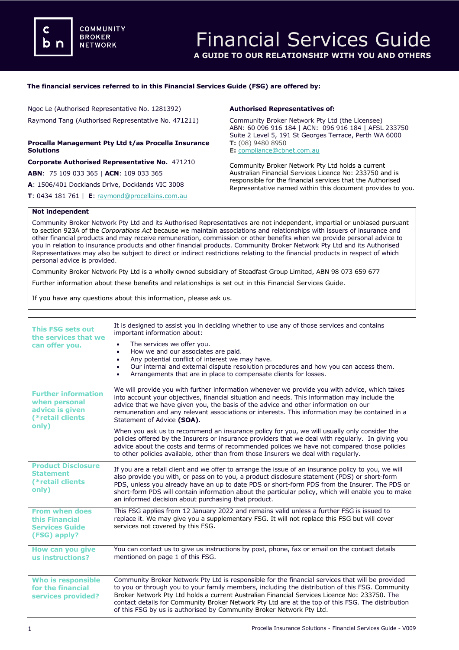## **The financial services referred to in this Financial Services Guide (FSG) are offered by:**

Ngoc Le (Authorised Representative No. 1281392) Raymond Tang (Authorised Representative No. 471211)

# **Procella Management Pty Ltd t/as Procella Insurance Solutions**

**Corporate Authorised Representative No.** 471210

**ABN**: 75 109 033 365 | **ACN**: 109 033 365

**A**: 1506/401 Docklands Drive, Docklands VIC 3008

**T**: 0434 181 761 | **E**: [raymond@procellains.com.au](mailto:raymond@procellains.com.au)

### **Authorised Representatives of:**

Community Broker Network Pty Ltd (the Licensee) ABN: 60 096 916 184 | ACN: 096 916 184 | AFSL 233750 Suite 2 Level 5, 191 St Georges Terrace, Perth WA 6000 **T:** (08) 9480 8950 **E:** [compliance@cbnet.com.au](mailto:queries@naswg.com.au) 

Community Broker Network Pty Ltd holds a current Australian Financial Services Licence No: 233750 and is responsible for the financial services that the Authorised Representative named within this document provides to you.

## **Not independent**

Community Broker Network Pty Ltd and its Authorised Representatives are not independent, impartial or unbiased pursuant to section 923A of the *Corporations Act* because we maintain associations and relationships with issuers of insurance and other financial products and may receive remuneration, commission or other benefits when we provide personal advice to you in relation to insurance products and other financial products. Community Broker Network Pty Ltd and its Authorised Representatives may also be subject to direct or indirect restrictions relating to the financial products in respect of which personal advice is provided.

Community Broker Network Pty Ltd is a wholly owned subsidiary of Steadfast Group Limited, ABN 98 073 659 677

Further information about these benefits and relationships is set out in this Financial Services Guide.

If you have any questions about this information, please ask us.

| <b>This FSG sets out</b><br>the services that we<br>can offer you.                          | It is designed to assist you in deciding whether to use any of those services and contains<br>important information about:<br>The services we offer you.<br>٠<br>How we and our associates are paid.<br>٠<br>Any potential conflict of interest we may have.<br>$\bullet$<br>Our internal and external dispute resolution procedures and how you can access them.<br>Arrangements that are in place to compensate clients for losses.<br>$\bullet$                               |
|---------------------------------------------------------------------------------------------|----------------------------------------------------------------------------------------------------------------------------------------------------------------------------------------------------------------------------------------------------------------------------------------------------------------------------------------------------------------------------------------------------------------------------------------------------------------------------------|
| <b>Further information</b><br>when personal<br>advice is given<br>(*retail clients<br>only) | We will provide you with further information whenever we provide you with advice, which takes<br>into account your objectives, financial situation and needs. This information may include the<br>advice that we have given you, the basis of the advice and other information on our<br>remuneration and any relevant associations or interests. This information may be contained in a<br>Statement of Advice (SOA).                                                           |
|                                                                                             | When you ask us to recommend an insurance policy for you, we will usually only consider the<br>policies offered by the Insurers or insurance providers that we deal with regularly. In giving you<br>advice about the costs and terms of recommended polices we have not compared those policies<br>to other policies available, other than from those Insurers we deal with regularly.                                                                                          |
| <b>Product Disclosure</b><br><b>Statement</b><br>(*retail clients)<br>only)                 | If you are a retail client and we offer to arrange the issue of an insurance policy to you, we will<br>also provide you with, or pass on to you, a product disclosure statement (PDS) or short-form<br>PDS, unless you already have an up to date PDS or short-form PDS from the Insurer. The PDS or<br>short-form PDS will contain information about the particular policy, which will enable you to make<br>an informed decision about purchasing that product.                |
| <b>From when does</b><br>this Financial<br><b>Services Guide</b><br>(FSG) apply?            | This FSG applies from 12 January 2022 and remains valid unless a further FSG is issued to<br>replace it. We may give you a supplementary FSG. It will not replace this FSG but will cover<br>services not covered by this FSG.                                                                                                                                                                                                                                                   |
| How can you give<br>us instructions?                                                        | You can contact us to give us instructions by post, phone, fax or email on the contact details<br>mentioned on page 1 of this FSG.                                                                                                                                                                                                                                                                                                                                               |
| <b>Who is responsible</b><br>for the financial<br>services provided?                        | Community Broker Network Pty Ltd is responsible for the financial services that will be provided<br>to you or through you to your family members, including the distribution of this FSG. Community<br>Broker Network Pty Ltd holds a current Australian Financial Services Licence No: 233750. The<br>contact details for Community Broker Network Pty Ltd are at the top of this FSG. The distribution<br>of this FSG by us is authorised by Community Broker Network Pty Ltd. |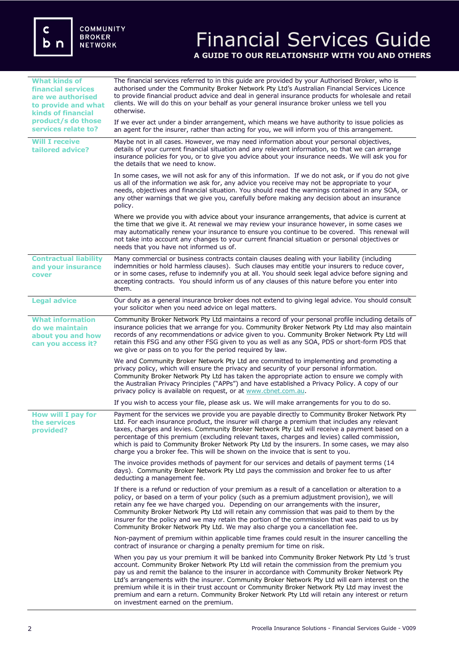# Financial Services Guide **A GUIDE TO OUR RELATIONSHIP WITH YOU AND OTHERS**

| <b>What kinds of</b><br>financial services<br>are we authorised<br>to provide and what<br><b>kinds of financial</b> | The financial services referred to in this guide are provided by your Authorised Broker, who is<br>authorised under the Community Broker Network Pty Ltd's Australian Financial Services Licence<br>to provide financial product advice and deal in general insurance products for wholesale and retail<br>clients. We will do this on your behalf as your general insurance broker unless we tell you<br>otherwise.                                                                                                                                                                                                                    |
|---------------------------------------------------------------------------------------------------------------------|-----------------------------------------------------------------------------------------------------------------------------------------------------------------------------------------------------------------------------------------------------------------------------------------------------------------------------------------------------------------------------------------------------------------------------------------------------------------------------------------------------------------------------------------------------------------------------------------------------------------------------------------|
| product/s do those<br>services relate to?                                                                           | If we ever act under a binder arrangement, which means we have authority to issue policies as<br>an agent for the insurer, rather than acting for you, we will inform you of this arrangement.                                                                                                                                                                                                                                                                                                                                                                                                                                          |
| <b>Will I receive</b><br>tailored advice?                                                                           | Maybe not in all cases. However, we may need information about your personal objectives,<br>details of your current financial situation and any relevant information, so that we can arrange<br>insurance policies for you, or to give you advice about your insurance needs. We will ask you for<br>the details that we need to know.                                                                                                                                                                                                                                                                                                  |
|                                                                                                                     | In some cases, we will not ask for any of this information. If we do not ask, or if you do not give<br>us all of the information we ask for, any advice you receive may not be appropriate to your<br>needs, objectives and financial situation. You should read the warnings contained in any SOA, or<br>any other warnings that we give you, carefully before making any decision about an insurance<br>policy.                                                                                                                                                                                                                       |
|                                                                                                                     | Where we provide you with advice about your insurance arrangements, that advice is current at<br>the time that we give it. At renewal we may review your insurance however, in some cases we<br>may automatically renew your insurance to ensure you continue to be covered. This renewal will<br>not take into account any changes to your current financial situation or personal objectives or<br>needs that you have not informed us of.                                                                                                                                                                                            |
| <b>Contractual liability</b><br>and your insurance<br>cover                                                         | Many commercial or business contracts contain clauses dealing with your liability (including<br>indemnities or hold harmless clauses). Such clauses may entitle your insurers to reduce cover,<br>or in some cases, refuse to indemnify you at all. You should seek legal advice before signing and<br>accepting contracts. You should inform us of any clauses of this nature before you enter into<br>them.                                                                                                                                                                                                                           |
| <b>Legal advice</b>                                                                                                 | Our duty as a general insurance broker does not extend to giving legal advice. You should consult<br>your solicitor when you need advice on legal matters.                                                                                                                                                                                                                                                                                                                                                                                                                                                                              |
| <b>What information</b><br>do we maintain<br>about you and how<br>can you access it?                                | Community Broker Network Pty Ltd maintains a record of your personal profile including details of<br>insurance policies that we arrange for you. Community Broker Network Pty Ltd may also maintain<br>records of any recommendations or advice given to you. Community Broker Network Pty Ltd will<br>retain this FSG and any other FSG given to you as well as any SOA, PDS or short-form PDS that<br>we give or pass on to you for the period required by law.                                                                                                                                                                       |
|                                                                                                                     | We and Community Broker Network Pty Ltd are committed to implementing and promoting a<br>privacy policy, which will ensure the privacy and security of your personal information.<br>Community Broker Network Pty Ltd has taken the appropriate action to ensure we comply with<br>the Australian Privacy Principles ("APPs") and have established a Privacy Policy. A copy of our<br>privacy policy is available on request, or at www.cbnet.com.au.                                                                                                                                                                                   |
|                                                                                                                     | If you wish to access your file, please ask us. We will make arrangements for you to do so.                                                                                                                                                                                                                                                                                                                                                                                                                                                                                                                                             |
| <b>How will I pay for</b><br>the services<br>provided?                                                              | Payment for the services we provide you are payable directly to Community Broker Network Pty<br>Ltd. For each insurance product, the insurer will charge a premium that includes any relevant<br>taxes, charges and levies. Community Broker Network Pty Ltd will receive a payment based on a<br>percentage of this premium (excluding relevant taxes, charges and levies) called commission,<br>which is paid to Community Broker Network Pty Ltd by the insurers. In some cases, we may also<br>charge you a broker fee. This will be shown on the invoice that is sent to you.                                                      |
|                                                                                                                     | The invoice provides methods of payment for our services and details of payment terms (14<br>days). Community Broker Network Pty Ltd pays the commission and broker fee to us after<br>deducting a management fee.                                                                                                                                                                                                                                                                                                                                                                                                                      |
|                                                                                                                     | If there is a refund or reduction of your premium as a result of a cancellation or alteration to a<br>policy, or based on a term of your policy (such as a premium adjustment provision), we will<br>retain any fee we have charged you. Depending on our arrangements with the insurer,<br>Community Broker Network Pty Ltd will retain any commission that was paid to them by the<br>insurer for the policy and we may retain the portion of the commission that was paid to us by<br>Community Broker Network Pty Ltd. We may also charge you a cancellation fee.                                                                   |
|                                                                                                                     | Non-payment of premium within applicable time frames could result in the insurer cancelling the<br>contract of insurance or charging a penalty premium for time on risk.                                                                                                                                                                                                                                                                                                                                                                                                                                                                |
|                                                                                                                     | When you pay us your premium it will be banked into Community Broker Network Pty Ltd 's trust<br>account. Community Broker Network Pty Ltd will retain the commission from the premium you<br>pay us and remit the balance to the insurer in accordance with Community Broker Network Pty<br>Ltd's arrangements with the insurer. Community Broker Network Pty Ltd will earn interest on the<br>premium while it is in their trust account or Community Broker Network Pty Ltd may invest the<br>premium and earn a return. Community Broker Network Pty Ltd will retain any interest or return<br>on investment earned on the premium. |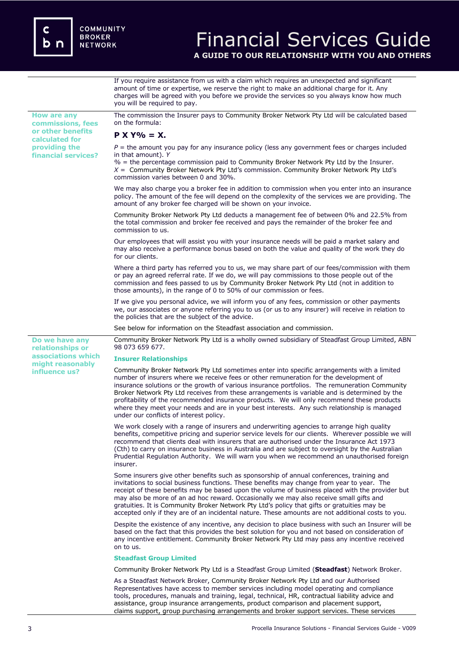

# Financial Services Guide

**A GUIDE TO OUR RELATIONSHIP WITH YOU AND OTHERS**

If you require assistance from us with a claim which requires an unexpected and significant amount of time or expertise, we reserve the right to make an additional charge for it. Any charges will be agreed with you before we provide the services so you always know how much you will be required to pay.

**How are any commissions, fees or other benefits calculated for providing the financial services?**

**Do we have any relationships or associations which might reasonably influence us?** 

The commission the Insurer pays to Community Broker Network Pty Ltd will be calculated based on the formula:

# $P X Y\% = X$ .

 $P =$  the amount you pay for any insurance policy (less any government fees or charges included in that amount). *Y*

*%* = the percentage commission paid to Community Broker Network Pty Ltd by the Insurer. *X* = Community Broker Network Pty Ltd's commission. Community Broker Network Pty Ltd's commission varies between 0 and 30%.

We may also charge you a broker fee in addition to commission when you enter into an insurance policy. The amount of the fee will depend on the complexity of the services we are providing. The amount of any broker fee charged will be shown on your invoice.

Community Broker Network Pty Ltd deducts a management fee of between 0% and 22.5% from the total commission and broker fee received and pays the remainder of the broker fee and commission to us.

Our employees that will assist you with your insurance needs will be paid a market salary and may also receive a performance bonus based on both the value and quality of the work they do for our clients.

Where a third party has referred you to us, we may share part of our fees/commission with them or pay an agreed referral rate. If we do, we will pay commissions to those people out of the commission and fees passed to us by Community Broker Network Pty Ltd (not in addition to those amounts), in the range of 0 to 50% of our commission or fees.

If we give you personal advice, we will inform you of any fees, commission or other payments we, our associates or anyone referring you to us (or us to any insurer) will receive in relation to the policies that are the subject of the advice.

See below for information on the Steadfast association and commission.

Community Broker Network Pty Ltd is a wholly owned subsidiary of Steadfast Group Limited, ABN 98 073 659 677.

#### **Insurer Relationships**

Community Broker Network Pty Ltd sometimes enter into specific arrangements with a limited number of insurers where we receive fees or other remuneration for the development of insurance solutions or the growth of various insurance portfolios. The remuneration Community Broker Network Pty Ltd receives from these arrangements is variable and is determined by the profitability of the recommended insurance products. We will only recommend these products where they meet your needs and are in your best interests. Any such relationship is managed under our conflicts of interest policy.

We work closely with a range of insurers and underwriting agencies to arrange high quality benefits, competitive pricing and superior service levels for our clients. Wherever possible we will recommend that clients deal with insurers that are authorised under the Insurance Act 1973 (Cth) to carry on insurance business in Australia and are subject to oversight by the Australian Prudential Regulation Authority. We will warn you when we recommend an unauthorised foreign insurer.

Some insurers give other benefits such as sponsorship of annual conferences, training and invitations to social business functions. These benefits may change from year to year. The receipt of these benefits may be based upon the volume of business placed with the provider but may also be more of an ad hoc reward. Occasionally we may also receive small gifts and gratuities. It is Community Broker Network Pty Ltd's policy that gifts or gratuities may be accepted only if they are of an incidental nature. These amounts are not additional costs to you.

Despite the existence of any incentive, any decision to place business with such an Insurer will be based on the fact that this provides the best solution for you and not based on consideration of any incentive entitlement. Community Broker Network Pty Ltd may pass any incentive received on to us.

#### **Steadfast Group Limited**

Community Broker Network Pty Ltd is a Steadfast Group Limited (**Steadfast**) Network Broker.

As a Steadfast Network Broker, Community Broker Network Pty Ltd and our Authorised Representatives have access to member services including model operating and compliance tools, procedures, manuals and training, legal, technical, HR, contractual liability advice and assistance, group insurance arrangements, product comparison and placement support, claims support, group purchasing arrangements and broker support services. These services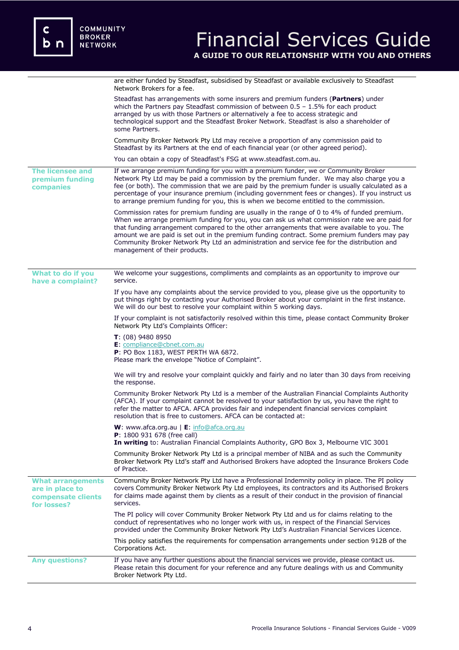|                                                                                  | are either funded by Steadfast, subsidised by Steadfast or available exclusively to Steadfast<br>Network Brokers for a fee.                                                                                                                                                                                                                                                                                                                                                                                               |
|----------------------------------------------------------------------------------|---------------------------------------------------------------------------------------------------------------------------------------------------------------------------------------------------------------------------------------------------------------------------------------------------------------------------------------------------------------------------------------------------------------------------------------------------------------------------------------------------------------------------|
|                                                                                  | Steadfast has arrangements with some insurers and premium funders (Partners) under<br>which the Partners pay Steadfast commission of between $0.5 - 1.5\%$ for each product<br>arranged by us with those Partners or alternatively a fee to access strategic and<br>technological support and the Steadfast Broker Network. Steadfast is also a shareholder of<br>some Partners.                                                                                                                                          |
|                                                                                  | Community Broker Network Pty Ltd may receive a proportion of any commission paid to<br>Steadfast by its Partners at the end of each financial year (or other agreed period).                                                                                                                                                                                                                                                                                                                                              |
|                                                                                  | You can obtain a copy of Steadfast's FSG at www.steadfast.com.au.                                                                                                                                                                                                                                                                                                                                                                                                                                                         |
| <b>The licensee and</b><br>premium funding<br>companies                          | If we arrange premium funding for you with a premium funder, we or Community Broker<br>Network Pty Ltd may be paid a commission by the premium funder. We may also charge you a<br>fee (or both). The commission that we are paid by the premium funder is usually calculated as a<br>percentage of your insurance premium (including government fees or changes). If you instruct us<br>to arrange premium funding for you, this is when we become entitled to the commission.                                           |
|                                                                                  | Commission rates for premium funding are usually in the range of 0 to 4% of funded premium.<br>When we arrange premium funding for you, you can ask us what commission rate we are paid for<br>that funding arrangement compared to the other arrangements that were available to you. The<br>amount we are paid is set out in the premium funding contract. Some premium funders may pay<br>Community Broker Network Pty Ltd an administration and service fee for the distribution and<br>management of their products. |
| What to do if you<br>have a complaint?                                           | We welcome your suggestions, compliments and complaints as an opportunity to improve our<br>service.                                                                                                                                                                                                                                                                                                                                                                                                                      |
|                                                                                  | If you have any complaints about the service provided to you, please give us the opportunity to<br>put things right by contacting your Authorised Broker about your complaint in the first instance.<br>We will do our best to resolve your complaint within 5 working days.                                                                                                                                                                                                                                              |
|                                                                                  | If your complaint is not satisfactorily resolved within this time, please contact Community Broker<br>Network Pty Ltd's Complaints Officer:                                                                                                                                                                                                                                                                                                                                                                               |
|                                                                                  | $T: (08)$ 9480 8950<br>E: compliance@cbnet.com.au<br>P: PO Box 1183, WEST PERTH WA 6872.<br>Please mark the envelope "Notice of Complaint".                                                                                                                                                                                                                                                                                                                                                                               |
|                                                                                  | We will try and resolve your complaint quickly and fairly and no later than 30 days from receiving<br>the response.                                                                                                                                                                                                                                                                                                                                                                                                       |
|                                                                                  | Community Broker Network Pty Ltd is a member of the Australian Financial Complaints Authority<br>(AFCA). If your complaint cannot be resolved to your satisfaction by us, you have the right to<br>refer the matter to AFCA. AFCA provides fair and independent financial services complaint<br>resolution that is free to customers. AFCA can be contacted at:                                                                                                                                                           |
|                                                                                  | W: www.afca.org.au   E: info@afca.org.au<br>P: 1800 931 678 (free call)<br>In writing to: Australian Financial Complaints Authority, GPO Box 3, Melbourne VIC 3001                                                                                                                                                                                                                                                                                                                                                        |
|                                                                                  | Community Broker Network Pty Ltd is a principal member of NIBA and as such the Community<br>Broker Network Pty Ltd's staff and Authorised Brokers have adopted the Insurance Brokers Code<br>of Practice.                                                                                                                                                                                                                                                                                                                 |
| <b>What arrangements</b><br>are in place to<br>compensate clients<br>for losses? | Community Broker Network Pty Ltd have a Professional Indemnity policy in place. The PI policy<br>covers Community Broker Network Pty Ltd employees, its contractors and its Authorised Brokers<br>for claims made against them by clients as a result of their conduct in the provision of financial<br>services.                                                                                                                                                                                                         |
|                                                                                  | The PI policy will cover Community Broker Network Pty Ltd and us for claims relating to the<br>conduct of representatives who no longer work with us, in respect of the Financial Services<br>provided under the Community Broker Network Pty Ltd's Australian Financial Services Licence.                                                                                                                                                                                                                                |
|                                                                                  | This policy satisfies the requirements for compensation arrangements under section 912B of the<br>Corporations Act.                                                                                                                                                                                                                                                                                                                                                                                                       |
| <b>Any questions?</b>                                                            | If you have any further questions about the financial services we provide, please contact us.<br>Please retain this document for your reference and any future dealings with us and Community<br>Broker Network Pty Ltd.                                                                                                                                                                                                                                                                                                  |